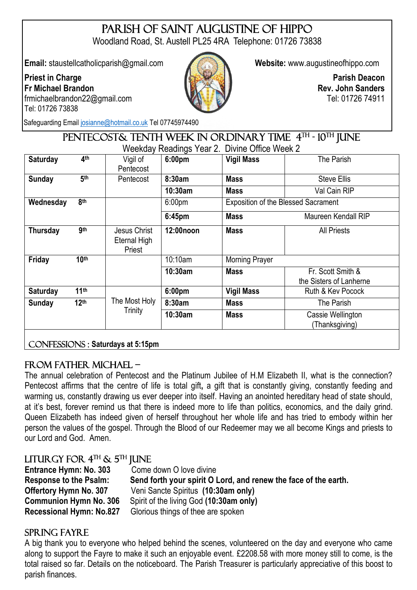# PARISH OF SAINT AUGUSTINE OF HIPPO

Woodland Road, St. Austell PL25 4RA Telephone: 01726 73838

**Email:** staustellcatholicparish@gmail.com **Website:** [www.augustineofhippo.com](about:blank)

#### **Priest in Charge Fr Michael Brandon**  frmichaelbrandon22@gmail.com Tel: 01726 73838



**Parish Deacon Rev. John Sanders** Tel: 01726 74911

Safeguarding Email [josianne@hotmail.co.uk](mailto:josianne@hotmail.co.uk) Tel 07745974490

## PENTECOST& TENTH WEEK IN ORDINARY TIME 4TH - 10TH JUNE Weekday Readings Year 2. Divine Office Week 2

| <b>Saturday</b> | 4 <sup>th</sup>  | Vigil of                               | 6:00pm             | <b>Vigil Mass</b>                          | The Parish                                   |
|-----------------|------------------|----------------------------------------|--------------------|--------------------------------------------|----------------------------------------------|
|                 |                  | Pentecost                              |                    |                                            |                                              |
| <b>Sunday</b>   | 5 <sup>th</sup>  | Pentecost                              | 8:30am             | <b>Mass</b>                                | <b>Steve Ellis</b>                           |
|                 |                  |                                        | 10:30am            | <b>Mass</b>                                | Val Cain RIP                                 |
| Wednesday       | 8 <sup>th</sup>  |                                        | 6:00 <sub>pm</sub> | <b>Exposition of the Blessed Sacrament</b> |                                              |
|                 |                  |                                        | 6:45pm             | <b>Mass</b>                                | Maureen Kendall RIP                          |
| <b>Thursday</b> | <b>gth</b>       | Jesus Christ<br>Eternal High<br>Priest | 12:00noon          | <b>Mass</b>                                | <b>All Priests</b>                           |
| Friday          | <b>10th</b>      |                                        | 10:10am            | <b>Morning Prayer</b>                      |                                              |
|                 |                  |                                        | 10:30am            | <b>Mass</b>                                | Fr. Scott Smith &<br>the Sisters of Lanherne |
| <b>Saturday</b> | 11 <sup>th</sup> | The Most Holy<br>Trinity               | 6:00pm             | <b>Vigil Mass</b>                          | Ruth & Kev Pocock                            |
| Sunday          | 12 <sup>th</sup> |                                        | 8:30am             | <b>Mass</b>                                | The Parish                                   |
|                 |                  |                                        | 10:30am            | <b>Mass</b>                                | Cassie Wellington<br>(Thanksgiving)          |

Confessions : **Saturdays at 5:15pm**

# From Father Michael –

٦

The annual celebration of Pentecost and the Platinum Jubilee of H.M Elizabeth II, what is the connection? Pentecost affirms that the centre of life is total gift**,** a gift that is constantly giving, constantly feeding and warming us, constantly drawing us ever deeper into itself. Having an anointed hereditary head of state should, at it's best, forever remind us that there is indeed more to life than politics, economics, and the daily grind. Queen Elizabeth has indeed given of herself throughout her whole life and has tried to embody within her person the values of the gospel. Through the Blood of our Redeemer may we all become Kings and priests to our Lord and God. Amen.

# LITURGY FOR  $4^{\text{TH}}$  &  $5^{\text{TH}}$  IUNE

**Entrance Hymn: No. 303** Come down O love divine **Response to the Psalm: Send forth your spirit O Lord, and renew the face of the earth. Offertory Hymn No. 307** Veni Sancte Spiritus **(10:30am only) Communion Hymn No. 306** Spirit of the living God **(10:30am only) Recessional Hymn: No.827** Glorious things of thee are spoken

# Spring fayre

A big thank you to everyone who helped behind the scenes, volunteered on the day and everyone who came along to support the Fayre to make it such an enjoyable event. £2208.58 with more money still to come, is the total raised so far. Details on the noticeboard. The Parish Treasurer is particularly appreciative of this boost to parish finances.